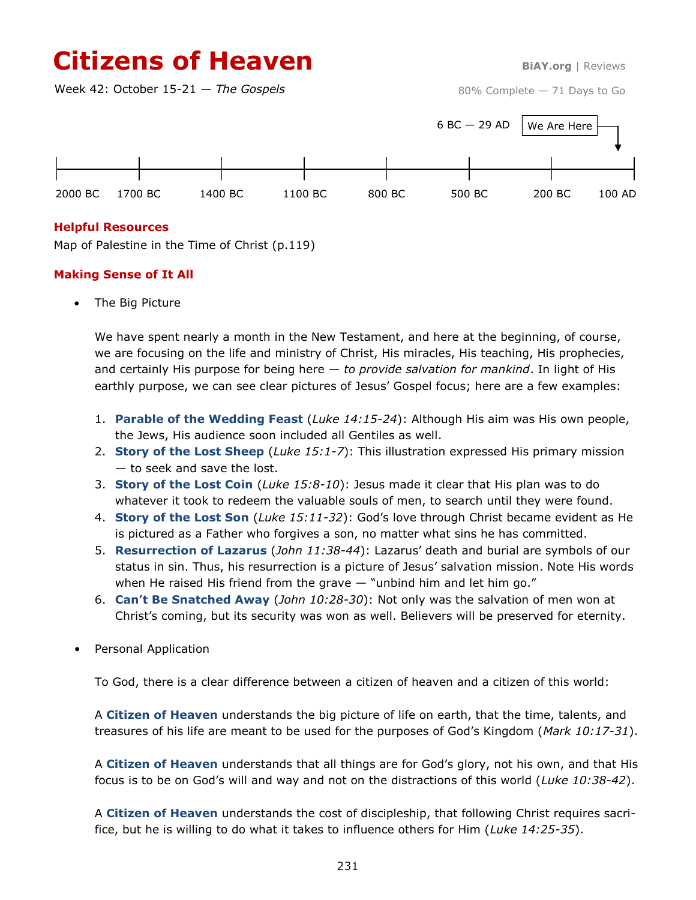# **Citizens of Heaven BiAY.org** | Reviews

Week 42: October 15-21 — *The Gospels*

80% Complete — 71 Days to Go



### **Helpful Resources**

Map of Palestine in the Time of Christ (p.119)

### **Making Sense of It All**

The Big Picture

We have spent nearly a month in the New Testament, and here at the beginning, of course, we are focusing on the life and ministry of Christ, His miracles, His teaching, His prophecies, and certainly His purpose for being here — *to provide salvation for mankind*. In light of His earthly purpose, we can see clear pictures of Jesus' Gospel focus; here are a few examples:

- 1. **Parable of the Wedding Feast** (*Luke 14:15-24*): Although His aim was His own people, the Jews, His audience soon included all Gentiles as well.
- 2. **Story of the Lost Sheep** (*Luke 15:1-7*): This illustration expressed His primary mission — to seek and save the lost.
- 3. **Story of the Lost Coin** (*Luke 15:8-10*): Jesus made it clear that His plan was to do whatever it took to redeem the valuable souls of men, to search until they were found.
- 4. **Story of the Lost Son** (*Luke 15:11-32*): God's love through Christ became evident as He is pictured as a Father who forgives a son, no matter what sins he has committed.
- 5. **Resurrection of Lazarus** (*John 11:38-44*): Lazarus' death and burial are symbols of our status in sin. Thus, his resurrection is a picture of Jesus' salvation mission. Note His words when He raised His friend from the grave  $-$  "unbind him and let him go."
- 6. **Can't Be Snatched Away** (*John 10:28-30*): Not only was the salvation of men won at Christ's coming, but its security was won as well. Believers will be preserved for eternity.
- Personal Application

To God, there is a clear difference between a citizen of heaven and a citizen of this world:

A **Citizen of Heaven** understands the big picture of life on earth, that the time, talents, and treasures of his life are meant to be used for the purposes of God's Kingdom (*Mark 10:17-31*).

A **Citizen of Heaven** understands that all things are for God's glory, not his own, and that His focus is to be on God's will and way and not on the distractions of this world (*Luke 10:38-42*).

A **Citizen of Heaven** understands the cost of discipleship, that following Christ requires sacrifice, but he is willing to do what it takes to influence others for Him (*Luke 14:25-35*).